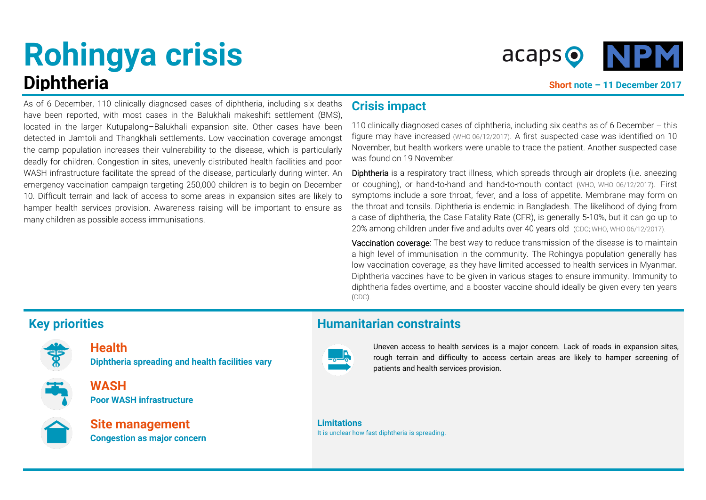# **Rohingya crisis Diphtheria Short note – 11 December 2017**



As of 6 December, 110 clinically diagnosed cases of diphtheria, including six deaths have been reported, with most cases in the Balukhali makeshift settlement (BMS), located in the larger Kutupalong–Balukhali expansion site. Other cases have been detected in Jamtoli and Thangkhali settlements. Low vaccination coverage amongst the camp population increases their vulnerability to the disease, which is particularly deadly for children. Congestion in sites, unevenly distributed health facilities and poor WASH infrastructure facilitate the spread of the disease, particularly during winter. An emergency vaccination campaign targeting 250,000 children is to begin on December 10. Difficult terrain and lack of access to some areas in expansion sites are likely to hamper health services provision. Awareness raising will be important to ensure as many children as possible access immunisations.

# **Crisis impact**

110 clinically diagnosed cases of diphtheria, including six deaths as of 6 December – this figure may have increased [\(WHO 06/12/2017\).](http://www.who.int/mediacentre/news/releases/2017/diphtheria-spreading-bangladesh/en/) A first suspected case was identified on 10 November, but health workers were unable to trace the patient. Another suspected case was found on 19 November.

Diphtheria is a respiratory tract illness, which spreads through air droplets (i.e. sneezing or coughing), or hand-to-hand and hand-to-mouth contact [\(WHO,](http://www.who.int/immunization/topics/diphtheria/en/index1.html) [WHO 06/12/2017\)](http://www.who.int/mediacentre/news/releases/2017/diphtheria-spreading-bangladesh/en/). First symptoms include a sore throat, fever, and a loss of appetite. Membrane may form on the throat and tonsils. Diphtheria is endemic in Bangladesh. The likelihood of dying from a case of diphtheria, the Case Fatality Rate (CFR), is generally 5-10%, but it can go up to 20% among children under five and adults over 40 years old [\(CDC;](https://www.cdc.gov/diphtheria/clinicians.html) [WHO,](http://www.who.int/immunization/topics/diphtheria/en/index1.html) [WHO 06/12/2017\)](http://www.who.int/mediacentre/news/releases/2017/diphtheria-spreading-bangladesh/en/).

Vaccination coverage: The best way to reduce transmission of the disease is to maintain a high level of immunisation in the community. The Rohingya population generally has low vaccination coverage, as they have limited accessed to health services in Myanmar. Diphtheria vaccines have to be given in various stages to ensure immunity. Immunity to diphtheria fades overtime, and a booster vaccine should ideally be given every ten years [\(CDC\)](https://www.cdc.gov/diphtheria/clinicians.html).



**Health Diphtheria spreading and health facilities vary**



**WASH Poor WASH infrastructure** 



**Site management Congestion as major concern**

## **Key priorities Humanitarian constraints**



Uneven access to health services is a major concern. Lack of roads in expansion sites, rough terrain and difficulty to access certain areas are likely to hamper screening of patients and health services provision.

**Limitations** It is unclear how fast diphtheria is spreading.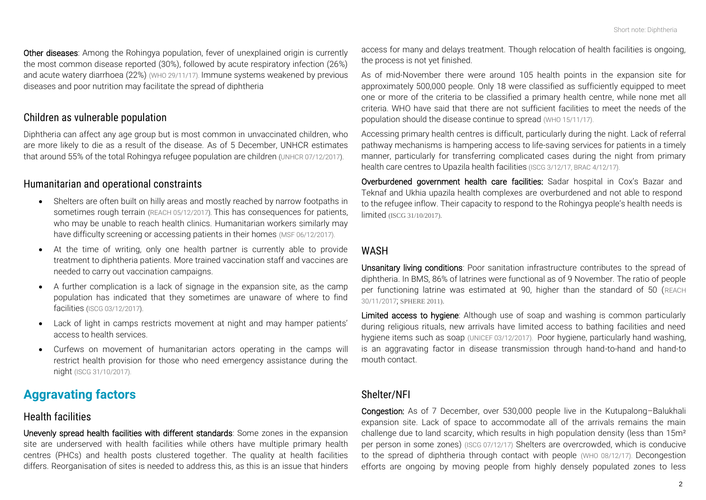Other diseases: Among the Rohingya population, fever of unexplained origin is currently the most common disease reported (30%), followed by acute respiratory infection (26%) and acute watery diarrhoea (22%) [\(WHO 29/11/17\)](https://reliefweb.int/sites/reliefweb.int/files/resources/weeklysitrep05cxbban.pdf). Immune systems weakened by previous diseases and poor nutrition may facilitate the spread of diphtheria

#### *Children as vulnerable population*

Diphtheria can affect any age group but is most common in unvaccinated children, who are more likely to die as a result of the disease. As of 5 December, UNHCR estimates that around 55% of the total Rohingya refugee population are children [\(UNHCR 07/12/2017\)](https://data2.unhcr.org/en/documents/details/61151).

#### *Humanitarian and operational constraints*

- Shelters are often built on hilly areas and mostly reached by narrow footpaths in sometimes rough terrain [\(REACH 05/12/2017\)](https://www.humanitarianresponse.info/en/operations/bangladesh/infographic/coxs-bazar-kutupalong-balukhali-expansion-sites-footpath-and). This has consequences for patients, who may be unable to reach health clinics. Humanitarian workers similarly may have difficulty screening or accessing patients in their homes [\(MSF 06/12/2017\)](http://www.msf.org/en/article/bangladesh-still-population-teetering-edge).
- At the time of writing, only one health partner is currently able to provide treatment to diphtheria patients. More trained vaccination staff and vaccines are needed to carry out vaccination campaigns.
- A further complication is a lack of signage in the expansion site, as the camp population has indicated that they sometimes are unaware of where to find facilities [\(ISCG 03/12/2017\)](https://www.humanitarianresponse.info/en/operations/bangladesh/document/situation-update-rohingya-crisis-coxs-bazar-3-december-2017).
- Lack of light in camps restricts movement at night and may hamper patients' access to health services.
- Curfews on movement of humanitarian actors operating in the camps will restrict health provision for those who need emergency assistance during the night [\(ISCG 31/10/2017\)](https://reliefweb.int/sites/reliefweb.int/files/resources/Rohingya%20Refugee%20Crisis%20Response%20Plan%20-%20Monitoring%20Report%2025%20August%20to%2031%20October%202017%20-%20FINAL%20011217.pdf).

# **Aggravating factors**

#### *Health facilities*

Unevenly spread health facilities with different standards: Some zones in the expansion site are underserved with health facilities while others have multiple primary health centres (PHCs) and health posts clustered together. The quality at health facilities differs. Reorganisation of sites is needed to address this, as this is an issue that hinders

access for many and delays treatment. Though relocation of health facilities is ongoing, the process is not yet finished.

As of mid-November there were around 105 health points in the expansion site for approximately 500,000 people. Only 18 were classified as sufficiently equipped to meet one or more of the criteria to be classified a primary health centre, while none met all criteria. WHO have said that there are not sufficient facilities to meet the needs of the population should the disease continue to spread [\(WHO 15/11/17\)](https://www.humanitarianresponse.info/system/files/documents/files/health_sector_meeting_minutes_15_november.pdf).

Accessing primary health centres is difficult, particularly during the night. Lack of referral pathway mechanisms is hampering access to life-saving services for patients in a timely manner, particularly for transferring complicated cases during the night from primary health care centres to Upazila health facilities [\(ISCG 3/12/17,](https://www.humanitarianresponse.info/system/files/documents/files/171203_weekly_iscg_sitrep_final.doc_0.pdf) BRAC [4/12/17\)](https://reliefweb.int/sites/reliefweb.int/files/resources/ACFrOgC64cQeJanDP9VprkxfhbJh2UR9WggTSo9y3Ki4fU4HrUC0aXsWDklat3fRSBbX0z8QuKOZczJsougHix471ntZmQTCY9LhzMpBVgV1_KsdC6obqS7-robyprI%3D.pdf).

Overburdened government health care facilities: Sadar hospital in Cox's Bazar and Teknaf and Ukhia upazila health complexes are overburdened and not able to respond to the refugee inflow. Their capacity to respond to the Rohingya people's health needs is limited (ISCG 31/10/2017).

#### *WASH*

Unsanitary living conditions: Poor sanitation infrastructure contributes to the spread of diphtheria. In BMS, 86% of latrines were functional as of 9 November. The ratio of people per functioning latrine was estimated at 90, higher than the standard of 50 ([REACH](http://www.reachresourcecentre.info/system/files/resource-documents/reach_bgd_factsheet_wash_site_profiles_balukhali_ms_november_2017.pdf) [30/11/2017](http://www.reachresourcecentre.info/system/files/resource-documents/reach_bgd_factsheet_wash_site_profiles_balukhali_ms_november_2017.pdf); [SPHERE 2011\)](http://www.ifrc.org/PageFiles/95530/The-Sphere-Project-Handbook-20111.pdf).

Limited access to hygiene: Although use of soap and washing is common particularly during religious rituals, new arrivals have limited access to bathing facilities and need hygiene items such as soap [\(UNICEF 03/12/2017\)](https://reliefweb.int/sites/reliefweb.int/files/resources/UNICEF%20Bangladesh%20Humanitarian%20Situation%20Report%20%2313%20%28%20Rohingya%20Influx%29%20as%20of%203%20December%202017.pdf). Poor hygiene, particularly hand washing, is an aggravating factor in disease transmission through hand-to-hand and hand-to mouth contact.

#### *Shelter/NFI*

Congestion: As of 7 December, over 530,000 people live in the Kutupalong–Balukhali expansion site. Lack of space to accommodate all of the arrivals remains the main challenge due to land scarcity, which results in high population density (less than 15m² per person in some zones) [\(ISCG 07/12/17\)](https://www.humanitarianresponse.info/en/operations/bangladesh/document/situation-update-rohingya-crisis-coxs-bazar-7-december-2017) Shelters are overcrowded, which is conducive to the spread of diphtheria through contact with people [\(WHO 08/12/17\)](http://www.who.int/immunization/topics/diphtheria/en/index1.html). Decongestion efforts are ongoing by moving people from highly densely populated zones to less